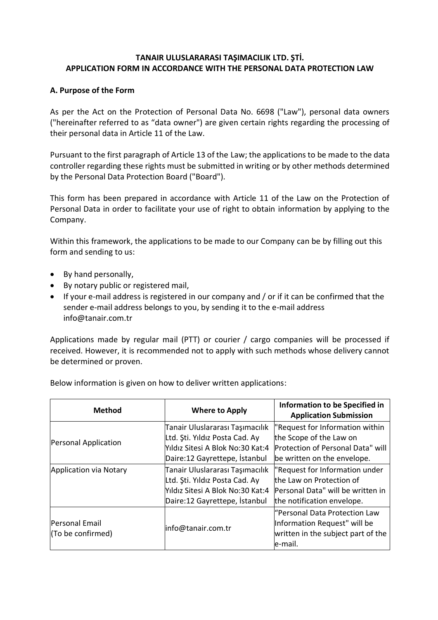### **TANAIR ULUSLARARASI TAŞIMACILIK LTD. ŞTİ. APPLICATION FORM IN ACCORDANCE WITH THE PERSONAL DATA PROTECTION LAW**

### **A. Purpose of the Form**

As per the Act on the Protection of Personal Data No. 6698 ("Law"), personal data owners ("hereinafter referred to as "data owner") are given certain rights regarding the processing of their personal data in Article 11 of the Law.

Pursuant to the first paragraph of Article 13 of the Law; the applications to be made to the data controller regarding these rights must be submitted in writing or by other methods determined by the Personal Data Protection Board ("Board").

This form has been prepared in accordance with Article 11 of the Law on the Protection of Personal Data in order to facilitate your use of right to obtain information by applying to the Company.

Within this framework, the applications to be made to our Company can be by filling out this form and sending to us:

- By hand personally,
- By notary public or registered mail,
- If your e-mail address is registered in our company and / or if it can be confirmed that the sender e-mail address belongs to you, by sending it to the e-mail address info@tanair.com.tr

Applications made by regular mail (PTT) or courier / cargo companies will be processed if received. However, it is recommended not to apply with such methods whose delivery cannot be determined or proven.

| <b>Method</b>                       | <b>Where to Apply</b>                                             | Information to be Specified in<br><b>Application Submission</b>                                                 |
|-------------------------------------|-------------------------------------------------------------------|-----------------------------------------------------------------------------------------------------------------|
| Personal Application                | Tanair Uluslararası Taşımacılık<br>Ltd. Ști. Yıldız Posta Cad. Ay | "Request for Information within<br>the Scope of the Law on                                                      |
|                                     | Yıldız Sitesi A Blok No:30 Kat:4                                  | Protection of Personal Data" will                                                                               |
|                                     | Daire:12 Gayrettepe, İstanbul                                     | be written on the envelope.                                                                                     |
| Application via Notary              | Tanair Uluslararası Taşımacılık                                   | "Request for Information under                                                                                  |
|                                     | Ltd. Sti. Yıldız Posta Cad. Ay                                    | the Law on Protection of                                                                                        |
|                                     | Yıldız Sitesi A Blok No:30 Kat:4                                  | Personal Data" will be written in                                                                               |
|                                     | Daire:12 Gayrettepe, İstanbul                                     | the notification envelope.                                                                                      |
| Personal Email<br>(To be confirmed) | info@tanair.com.tr                                                | "Personal Data Protection Law<br>Information Request" will be<br>written in the subject part of the<br>le-mail. |

Below information is given on how to deliver written applications: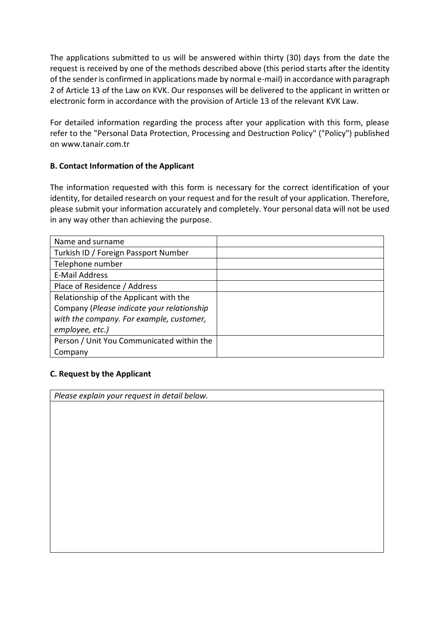The applications submitted to us will be answered within thirty (30) days from the date the request is received by one of the methods described above (this period starts after the identity of the sender is confirmed in applications made by normal e-mail) in accordance with paragraph 2 of Article 13 of the Law on KVK. Our responses will be delivered to the applicant in written or electronic form in accordance with the provision of Article 13 of the relevant KVK Law.

For detailed information regarding the process after your application with this form, please refer to the "Personal Data Protection, Processing and Destruction Policy" ("Policy") published on www.tanair.com.tr

# **B. Contact Information of the Applicant**

The information requested with this form is necessary for the correct identification of your identity, for detailed research on your request and for the result of your application. Therefore, please submit your information accurately and completely. Your personal data will not be used in any way other than achieving the purpose.

| Name and surname                           |  |
|--------------------------------------------|--|
| Turkish ID / Foreign Passport Number       |  |
| Telephone number                           |  |
| <b>E-Mail Address</b>                      |  |
| Place of Residence / Address               |  |
| Relationship of the Applicant with the     |  |
| Company (Please indicate your relationship |  |
| with the company. For example, customer,   |  |
| employee, etc.)                            |  |
| Person / Unit You Communicated within the  |  |
| Company                                    |  |

# **C. Request by the Applicant**

*Please explain your request in detail below.*